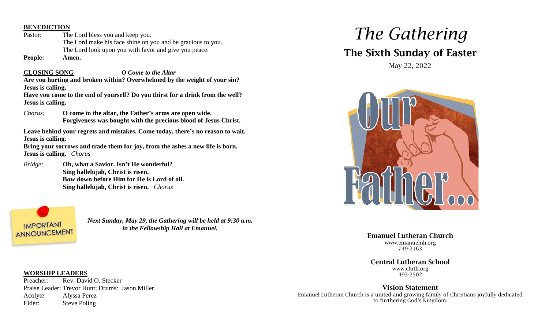#### **BENEDICTION**

Pastor: The Lord bless you and keep you. The Lord make his face shine on you and be gracious to you. The Lord look upon you with favor and give you peace.

**People: Amen.**

**CLOSING SONG** *O Come to the Altar* **Are you hurting and broken within? Overwhelmed by the weight of your sin? Jesus is calling.**

**Have you come to the end of yourself? Do you thirst for a drink from the well? Jesus is calling.**

*Chorus:* **O come to the altar, the Father's arms are open wide. Forgiveness was bought with the precious blood of Jesus Christ.**

**Leave behind your regrets and mistakes. Come today, there's no reason to wait. Jesus is calling.**

**Bring your sorrows and trade them for joy, from the ashes a new life is born. Jesus is calling.** *Chorus*

*Bridge:* **Oh, what a Savior. Isn't He wonderful? Sing hallelujah, Christ is risen. Bow down before Him for He is Lord of all. Sing hallelujah, Christ is risen.** *Chorus*



*Next Sunday, May 29, the Gathering will be held at 9:30 a.m. in the Fellowship Hall at Emanuel.*

# *The Gathering*

# The Sixth Sunday of Easter

May 22, 2022



Emanuel Lutheran Church www.emanuelnh.org 749-2163

Central Lutheran School www.cluth.org 493-2502

Vision Statement Emanuel Lutheran Church is a united and growing family of Christians joyfully dedicated to furthering God's Kingdom.

#### **WORSHIP LEADERS**

Preacher: Rev. David O. Stecker Praise Leader: Trevor Hunt; Drums: Jason Miller Acolyte: Alyssa Perez Elder: Steve Poling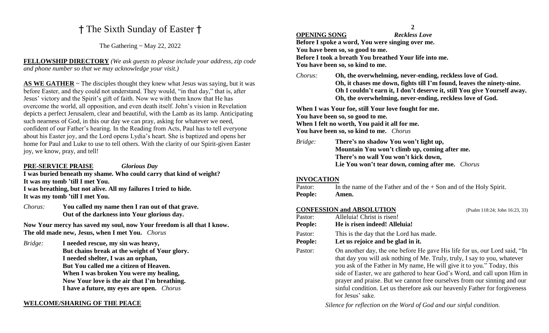## † The Sixth Sunday of Easter †

The Gathering  $\sim$  May 22, 2022

**FELLOWSHIP DIRECTORY** *(We ask guests to please include your address, zip code and phone number so that we may acknowledge your visit.)*

AS WE GATHER  $\sim$  The disciples thought they knew what Jesus was saying, but it was before Easter, and they could not understand. They would, "in that day," that is, after Jesus' victory and the Spirit's gift of faith. Now we with them know that He has overcome the world, all opposition, and even death itself. John's vision in Revelation depicts a perfect Jerusalem, clear and beautiful, with the Lamb as its lamp. Anticipating such nearness of God, in this our day we can pray, asking for whatever we need, confident of our Father's hearing. In the Reading from Acts, Paul has to tell everyone about his Easter joy, and the Lord opens Lydia's heart. She is baptized and opens her home for Paul and Luke to use to tell others. With the clarity of our Spirit-given Easter joy, we know, pray, and tell!

#### **PRE-SERVICE PRAISE** *Glorious Day*

**I was buried beneath my shame. Who could carry that kind of weight? It was my tomb 'till I met You. I was breathing, but not alive. All my failures I tried to hide. It was my tomb 'till I met You.**

*Chorus:* **You called my name then I ran out of that grave. Out of the darkness into Your glorious day.**

**Now Your mercy has saved my soul, now Your freedom is all that I know. The old made new, Jesus, when I met You.** *Chorus*

*Bridge:* **I needed rescue, my sin was heavy, But chains break at the weight of Your glory. I needed shelter, I was an orphan, But You called me a citizen of Heaven. When I was broken You were my healing, Now Your love is the air that I'm breathing. I have a future, my eyes are open.** *Chorus*

### **WELCOME/SHARING OF THE PEACE**

#### **OPENING SONG** *Reckless Love*

**Before I spoke a word, You were singing over me. You have been so, so good to me.**

**Before I took a breath You breathed Your life into me.** 

**You have been so, so kind to me.**

*Chorus:* **Oh, the overwhelming, never-ending, reckless love of God. Oh, it chases me down, fights till I'm found, leaves the ninety-nine. Oh I couldn't earn it, I don't deserve it, still You give Yourself away. Oh, the overwhelming, never-ending, reckless love of God.**

**When I was Your foe, still Your love fought for me. You have been so, so good to me. When I felt no worth, You paid it all for me. You have been so, so kind to me.** *Chorus*

*Bridge:* **There's no shadow You won't light up, Mountain You won't climb up, coming after me. There's no wall You won't kick down, Lie You won't tear down, coming after me.** *Chorus*

### **INVOCATION**

| <b>People:</b> | Amen.                                                                |
|----------------|----------------------------------------------------------------------|
| Pastor:        | In the name of the Father and of the $+$ Son and of the Holy Spirit. |

**CONFESSION and ABSOLUTION** (Psalm 118:24; John 16:23, 33) Pastor: Alleluia! Christ is risen! **People: He is risen indeed! Alleluia!** Pastor: This is the day that the Lord has made. **People: Let us rejoice and be glad in it.** Pastor: On another day, the one before He gave His life for us, our Lord said, "In that day you will ask nothing of Me. Truly, truly, I say to you, whatever you ask of the Father in My name, He will give it to you." Today, this side of Easter, we are gathered to hear God's Word, and call upon Him in prayer and praise. But we cannot free ourselves from our sinning and our sinful condition. Let us therefore ask our heavenly Father for forgiveness for Jesus' sake.

*Silence for reflection on the Word of God and our sinful condition.*

**2**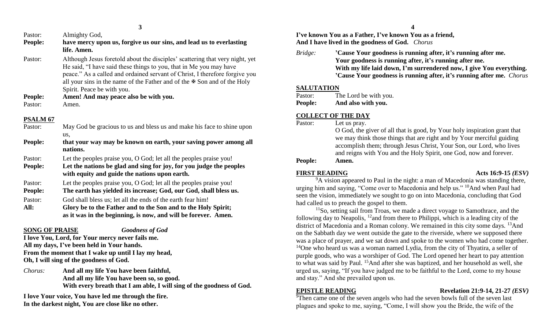| Pastor: | Almighty God,                                                                                                                                                                                                                                                                                                                                          |
|---------|--------------------------------------------------------------------------------------------------------------------------------------------------------------------------------------------------------------------------------------------------------------------------------------------------------------------------------------------------------|
| People: | have mercy upon us, forgive us our sins, and lead us to everlasting<br>life. Amen.                                                                                                                                                                                                                                                                     |
| Pastor: | Although Jesus foretold about the disciples' scattering that very night, yet<br>He said, "I have said these things to you, that in Me you may have<br>peace." As a called and ordained servant of Christ, I therefore forgive you<br>all your sins in the name of the Father and of the $\mathcal F$ Son and of the Holy<br>Spirit. Peace be with you. |

**People: Amen! And may peace also be with you.** Pastor: Amen.

#### **PSALM 67**

| 1 DI YEKE VI   |                                                                                                                      |
|----------------|----------------------------------------------------------------------------------------------------------------------|
| Pastor:        | May God be gracious to us and bless us and make his face to shine upon                                               |
| People:        | us.<br>that your way may be known on earth, your saving power among all                                              |
|                | nations.                                                                                                             |
| Pastor:        | Let the peoples praise you, O God; let all the peoples praise you!                                                   |
| <b>People:</b> | Let the nations be glad and sing for joy, for you judge the peoples<br>with equity and guide the nations upon earth. |
| Pastor:        | Let the peoples praise you, O God; let all the peoples praise you!                                                   |
| <b>People:</b> | The earth has yielded its increase; God, our God, shall bless us.                                                    |
| Pastor:        | God shall bless us; let all the ends of the earth fear him!                                                          |
| All:           | Glory be to the Father and to the Son and to the Holy Spirit;                                                        |
|                | as it was in the beginning, is now, and will be forever. Amen.                                                       |

### **SONG OF PRAISE** *Goodness of God*

**I love You, Lord, for Your mercy never fails me. All my days, I've been held in Your hands. From the moment that I wake up until I lay my head, Oh, I will sing of the goodness of God.**

*Chorus:* **And all my life You have been faithful, And all my life You have been so, so good. With every breath that I am able, I will sing of the goodness of God.**

**I love Your voice, You have led me through the fire. In the darkest night, You are close like no other.**

**I've known You as a Father, I've known You as a friend, And I have lived in the goodness of God.** *Chorus*

*Bridge:* **'Cause Your goodness is running after, it's running after me. Your goodness is running after, it's running after me. With my life laid down, I'm surrendered now, I give You everything. 'Cause Your goodness is running after, it's running after me.** *Chorus*

### **SALUTATION**

| Pastor: | The Lord be with you. |
|---------|-----------------------|
| People: | And also with you.    |

### **COLLECT OF THE DAY**

| Pastor:        | Let us pray.                                                              |
|----------------|---------------------------------------------------------------------------|
|                | O God, the giver of all that is good, by Your holy inspiration grant that |
|                | we may think those things that are right and by Your merciful guiding     |
|                | accomplish them; through Jesus Christ, Your Son, our Lord, who lives      |
|                | and reigns with You and the Holy Spirit, one God, now and forever.        |
| <b>People:</b> | Amen.                                                                     |

### **FIRST READING Acts 16:9-15** *(ESV)*

<sup>9</sup>A vision appeared to Paul in the night: a man of Macedonia was standing there, urging him and saying, "Come over to Macedonia and help us." <sup>10</sup>And when Paul had seen the vision, immediately we sought to go on into Macedonia, concluding that God had called us to preach the gospel to them.

<sup>11</sup>So, setting sail from Troas, we made a direct voyage to Samothrace, and the following day to Neapolis, <sup>12</sup>and from there to Philippi, which is a leading city of the district of Macedonia and a Roman colony. We remained in this city some days. <sup>13</sup>And on the Sabbath day we went outside the gate to the riverside, where we supposed there was a place of prayer, and we sat down and spoke to the women who had come together. <sup>14</sup>One who heard us was a woman named Lydia, from the city of Thyatira, a seller of purple goods, who was a worshiper of God. The Lord opened her heart to pay attention to what was said by Paul. <sup>15</sup>And after she was baptized, and her household as well, she urged us, saying, "If you have judged me to be faithful to the Lord, come to my house and stay." And she prevailed upon us.

### **EPISTLE READING Revelation 21:9-14, 21-27** *(ESV)*

 $\overline{9}$ Then came one of the seven angels who had the seven bowls full of the seven last plagues and spoke to me, saying, "Come, I will show you the Bride, the wife of the